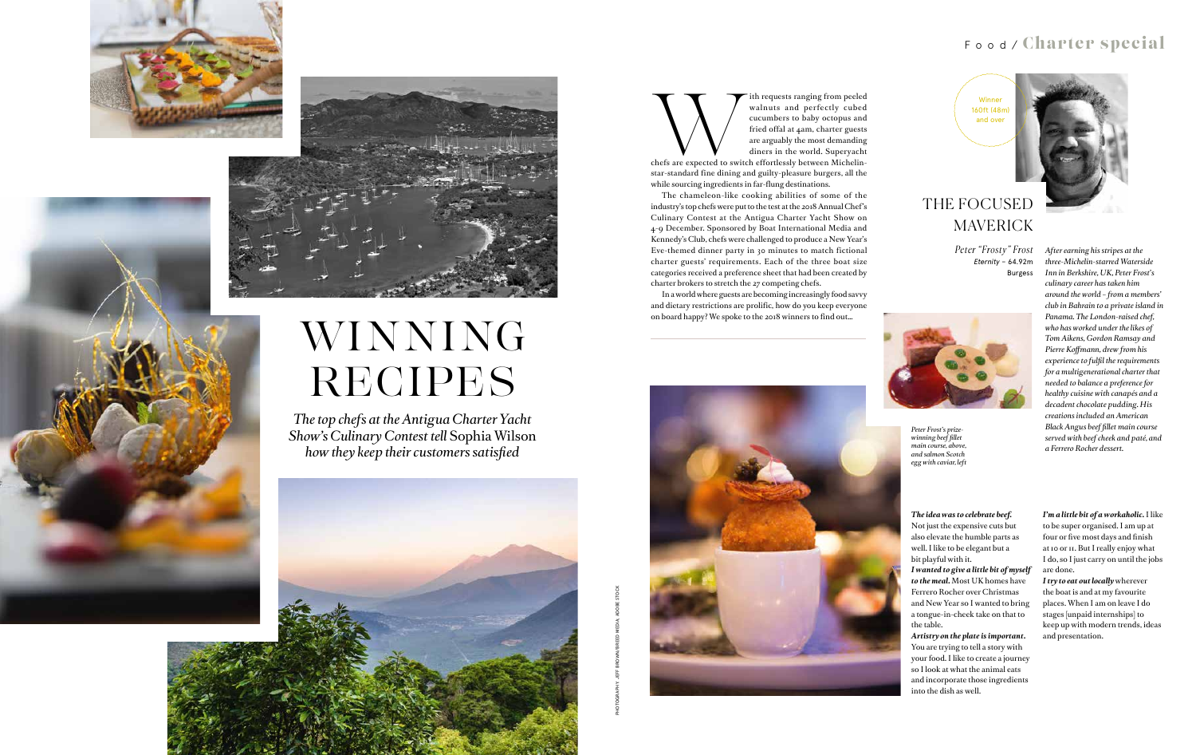PHOTOGRAPHY: JEFF BROWN/BREED MEDIA; ADOBE STOCK





# WINNING RECIPES

## Food/ Charter special

*The top chefs at the Antigua Charter Yacht Show's Culinary Contest tell* Sophia Wilson *how they keep their customers satisfied* 



The requests ranging from peeled<br>walnuts and perfectly cubed<br>cucumbers to baby octopus and<br>fried offal at 4am, charter guests<br>are arguably the most demanding<br>diners in the world. Superyacht<br>chefs are expected to switch eff

walnuts and perfectly cubed

cucumbers to baby octopus and fried offal at 4am, charter guests are arguably the most demanding diners in the world. Superyacht

chefs are expected to switch effortlessly between Michelinstar-standard fine dining and guilty-pleasure burgers, all the while sourcing ingredients in far-flung destinations.

The chameleon-like cooking abilities of some of the industry's top chefs were put to the test at the 2018 Annual Chef's Culinary Contest at the Antigua Charter Yacht Show on 4-9 December. Sponsored by Boat International Media and Kennedy's Club, chefs were challenged to produce a New Year's Eve-themed dinner party in 30 minutes to match fictional charter guests' requirements. Each of the three boat size categories received a preference sheet that had been created by charter brokers to stretch the 27 competing chefs.

In a world where guests are becoming increasingly food savvy and dietary restrictions are prolific, how do you keep everyone on board happy? We spoke to the 2018 winners to find out…



#### *The idea was to celebrate beef.*

Not just the expensive cuts but also elevate the humble parts as well. I like to be elegant but a bit playful with it.

*I wanted to give a little bit of myself to the meal.* Most UK homes have Ferrero Rocher over Christmas and New Year so I wanted to bring a tongue-in-cheek take on that to the table.

*Artistry on the plate is important.* You are trying to tell a story with your food. I like to create a journey so I look at what the animal eats and incorporate those ingredients into the dish as well.

*I'm a little bit of a workaholic.* I like to be super organised. I am up at four or five most days and finish at 10 or 11. But I really enjoy what I do, so I just carry on until the jobs are done.

*I try to eat out locally* wherever the boat is and at my favourite places. When I am on leave I do stages [unpaid internships] to keep up with modern trends, ideas and presentation.

*After earning his stripes at the three-Michelin-starred Waterside Inn in Berkshire, UK, Peter Frost's culinary career has taken him around the world – from a members' club in Bahrain to a private island in Panama. The London-raised chef, who has worked under the likes of Tom Aikens, Gordon Ramsay and Pierre Koffmann, drew from his experience to fulfil the requirements for a multigenerational charter that needed to balance a preference for healthy cuisine with canapés and a decadent chocolate pudding. His creations included an American Black Angus beef fillet main course served with beef cheek and paté, and a Ferrero Rocher dessert.* 



## THE FOCUSED MAVERICK

*Peter "Frosty" Frost Eternity* – 64.92m Burgess



*Peter Frost's prizewinning beef fillet main course, above, and salmon Scotch egg with caviar, left*